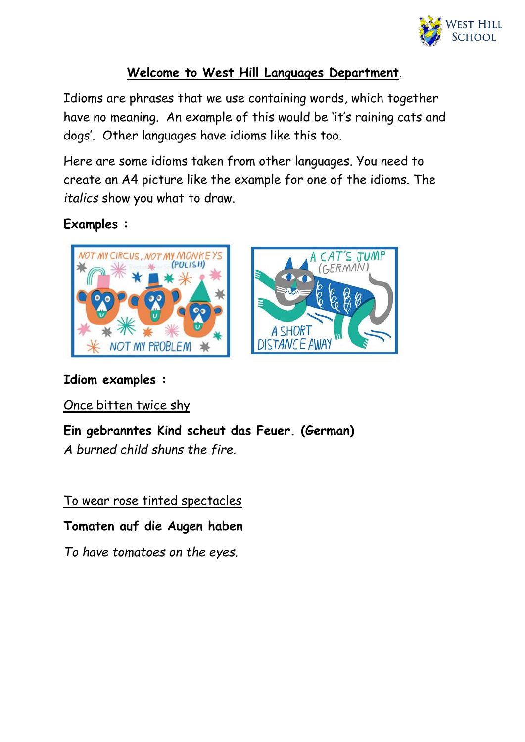

## **Welcome to West Hill Languages Department**.

Idioms are phrases that we use containing words, which together have no meaning. An example of this would be 'it's raining cats and dogs'. Other languages have idioms like this too.

Here are some idioms taken from other languages. You need to create an A4 picture like the example for one of the idioms. The *italics* show you what to draw.

**Examples :**





## **Idiom examples :**

Once bitten twice shy

**Ein gebranntes Kind scheut das Feuer. (German)**

*A burned child shuns the fire.*

To wear rose tinted spectacles

**Tomaten auf die Augen haben**

*To have tomatoes on the eyes.*